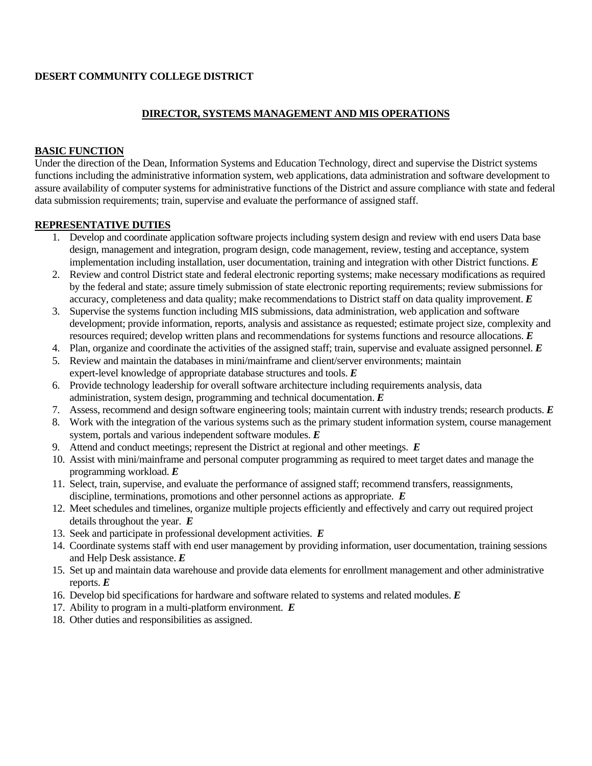## **DESERT COMMUNITY COLLEGE DISTRICT**

## **DIRECTOR, SYSTEMS MANAGEMENT AND MIS OPERATIONS**

### **BASIC FUNCTION**

Under the direction of the Dean, Information Systems and Education Technology, direct and supervise the District systems functions including the administrative information system, web applications, data administration and software development to assure availability of computer systems for administrative functions of the District and assure compliance with state and federal data submission requirements; train, supervise and evaluate the performance of assigned staff.

#### **REPRESENTATIVE DUTIES**

- 1. Develop and coordinate application software projects including system design and review with end users Data base design, management and integration, program design, code management, review, testing and acceptance, system implementation including installation, user documentation, training and integration with other District functions. *E*
- 2. Review and control District state and federal electronic reporting systems; make necessary modifications as required by the federal and state; assure timely submission of state electronic reporting requirements; review submissions for accuracy, completeness and data quality; make recommendations to District staff on data quality improvement. *E*
- 3. Supervise the systems function including MIS submissions, data administration, web application and software development; provide information, reports, analysis and assistance as requested; estimate project size, complexity and resources required; develop written plans and recommendations for systems functions and resource allocations. *E*
- 4. Plan, organize and coordinate the activities of the assigned staff; train, supervise and evaluate assigned personnel. *E*
- 5. Review and maintain the databases in mini/mainframe and client/server environments; maintain expert-level knowledge of appropriate database structures and tools. *E*
- 6. Provide technology leadership for overall software architecture including requirements analysis, data administration, system design, programming and technical documentation. *E*
- 7. Assess, recommend and design software engineering tools; maintain current with industry trends; research products. *E*
- 8. Work with the integration of the various systems such as the primary student information system, course management system, portals and various independent software modules. *E*
- 9. Attend and conduct meetings; represent the District at regional and other meetings. *E*
- 10. Assist with mini/mainframe and personal computer programming as required to meet target dates and manage the programming workload. *E*
- 11. Select, train, supervise, and evaluate the performance of assigned staff; recommend transfers, reassignments, discipline, terminations, promotions and other personnel actions as appropriate. *E*
- 12. Meet schedules and timelines, organize multiple projects efficiently and effectively and carry out required project details throughout the year. *E*
- 13. Seek and participate in professional development activities. *E*
- 14. Coordinate systems staff with end user management by providing information, user documentation, training sessions and Help Desk assistance. *E*
- 15. Set up and maintain data warehouse and provide data elements for enrollment management and other administrative reports. *E*
- 16. Develop bid specifications for hardware and software related to systems and related modules. *E*
- 17. Ability to program in a multi-platform environment. *E*
- 18. Other duties and responsibilities as assigned.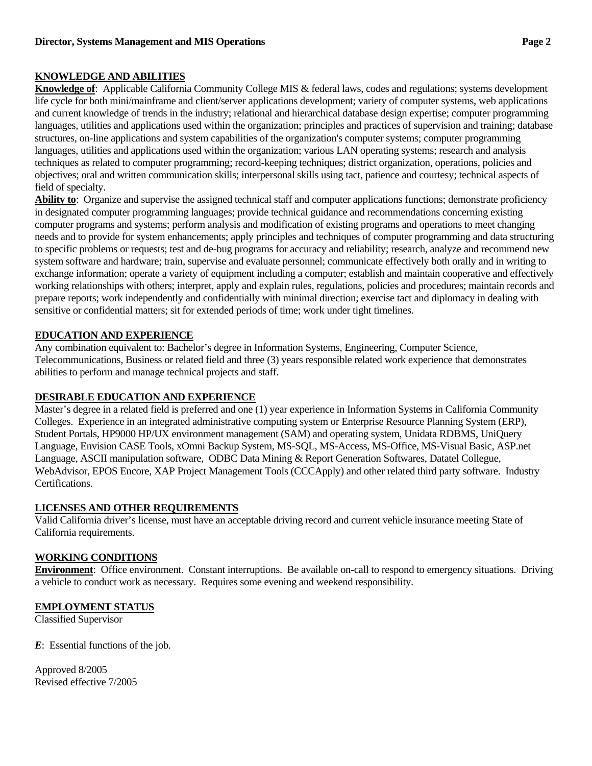# **KNOWLEDGE AND ABILITIES**

**Knowledge of**: Applicable California Community College MIS & federal laws, codes and regulations; systems development life cycle for both mini/mainframe and client/server applications development; variety of computer systems, web applications and current knowledge of trends in the industry; relational and hierarchical database design expertise; computer programming languages, utilities and applications used within the organization; principles and practices of supervision and training; database structures, on-line applications and system capabilities of the organization's computer systems; computer programming languages, utilities and applications used within the organization; various LAN operating systems; research and analysis techniques as related to computer programming; record-keeping techniques; district organization, operations, policies and objectives; oral and written communication skills; interpersonal skills using tact, patience and courtesy; technical aspects of field of specialty.

**Ability to**: Organize and supervise the assigned technical staff and computer applications functions; demonstrate proficiency in designated computer programming languages; provide technical guidance and recommendations concerning existing computer programs and systems; perform analysis and modification of existing programs and operations to meet changing needs and to provide for system enhancements; apply principles and techniques of computer programming and data structuring to specific problems or requests; test and de-bug programs for accuracy and reliability; research, analyze and recommend new system software and hardware; train, supervise and evaluate personnel; communicate effectively both orally and in writing to exchange information; operate a variety of equipment including a computer; establish and maintain cooperative and effectively working relationships with others; interpret, apply and explain rules, regulations, policies and procedures; maintain records and prepare reports; work independently and confidentially with minimal direction; exercise tact and diplomacy in dealing with sensitive or confidential matters; sit for extended periods of time; work under tight timelines.

# **EDUCATION AND EXPERIENCE**

Any combination equivalent to: Bachelor's degree in Information Systems, Engineering, Computer Science, Telecommunications, Business or related field and three (3) years responsible related work experience that demonstrates abilities to perform and manage technical projects and staff.

# **DESIRABLE EDUCATION AND EXPERIENCE**

Master's degree in a related field is preferred and one (1) year experience in Information Systems in California Community Colleges. Experience in an integrated administrative computing system or Enterprise Resource Planning System (ERP), Student Portals, HP9000 HP/UX environment management (SAM) and operating system, Unidata RDBMS, UniQuery Language, Envision CASE Tools, xOmni Backup System, MS-SQL, MS-Access, MS-Office, MS-Visual Basic, ASP.net Language, ASCII manipulation software, ODBC Data Mining & Report Generation Softwares, Datatel Collegue, WebAdvisor, EPOS Encore, XAP Project Management Tools (CCCApply) and other related third party software. Industry Certifications.

# **LICENSES AND OTHER REQUIREMENTS**

Valid California driver's license, must have an acceptable driving record and current vehicle insurance meeting State of California requirements.

# **WORKING CONDITIONS**

**Environment**: Office environment. Constant interruptions. Be available on-call to respond to emergency situations. Driving a vehicle to conduct work as necessary. Requires some evening and weekend responsibility.

# **EMPLOYMENT STATUS**

Classified Supervisor

*E*: Essential functions of the job.

Approved 8/2005 Revised effective 7/2005